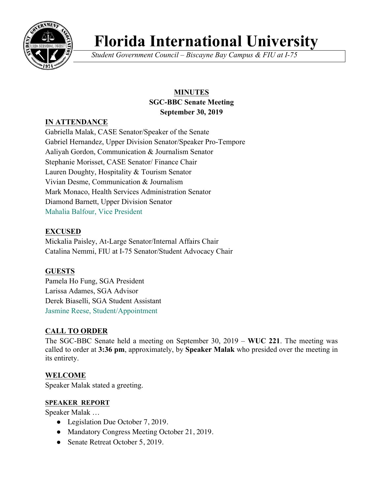

# **Florida International University**

*Student Government Council – Biscayne Bay Campus & FIU at I-75*

# **MINUTES SGC-BBC Senate Meeting September 30, 2019**

# **IN ATTENDANCE**

Gabriella Malak, CASE Senator/Speaker of the Senate Gabriel Hernandez, Upper Division Senator/Speaker Pro-Tempore Aaliyah Gordon, Communication & Journalism Senator Stephanie Morisset, CASE Senator/ Finance Chair Lauren Doughty, Hospitality & Tourism Senator Vivian Desme, Communication & Journalism Mark Monaco, Health Services Administration Senator Diamond Barnett, Upper Division Senator Mahalia Balfour, Vice President

# **EXCUSED**

Mickalia Paisley, At-Large Senator/Internal Affairs Chair Catalina Nemmi, FIU at I-75 Senator/Student Advocacy Chair

# **GUESTS**

Pamela Ho Fung, SGA President Larissa Adames, SGA Advisor Derek Biaselli, SGA Student Assistant Jasmine Reese, Student/Appointment

# **CALL TO ORDER**

The SGC-BBC Senate held a meeting on September 30, 2019 – **WUC 221**. The meeting was called to order at **3:36 pm**, approximately, by **Speaker Malak** who presided over the meeting in its entirety.

# **WELCOME**

Speaker Malak stated a greeting.

# **SPEAKER REPORT**

Speaker Malak …

- Legislation Due October 7, 2019.
- Mandatory Congress Meeting October 21, 2019.
- Senate Retreat October 5, 2019.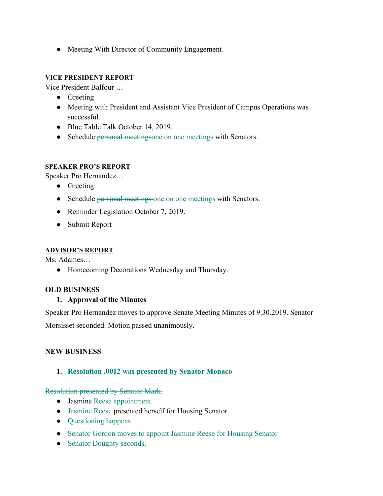• Meeting With Director of Community Engagement.

#### **VICE PRESIDENT REPORT**

Vice President Balfour …

- Greeting
- Meeting with President and Assistant Vice President of Campus Operations was successful.
- Blue Table Talk October 14, 2019.
- Schedule personal meetingsone on one meetings with Senators.

#### **SPEAKER PRO'S REPORT**

Speaker Pro Hernandez…

- Greeting
- Schedule personal meetings one on one meetings with Senators.
- Reminder Legislation October 7, 2019.
- Submit Report

#### **ADVISOR'S REPORT**

Ms. Adames…

● Homecoming Decorations Wednesday and Thursday.

#### **OLD BUSINESS**

#### **1. Approval of the Minutes**

Speaker Pro Hernandez moves to approve Senate Meeting Minutes of 9.30.2019. Senator

Morsisset seconded. Motion passed unanimously.

#### **NEW BUSINESS**

#### **1. Resolution .0012 was presented by Senator Monaco**

Resolution presented by Senator Mark.

- Jasmine Reese appointment.
- Jasmine Reese presented herself for Housing Senator.
- Ouestioning happens.
- Senator Gordon moves to appoint Jasmine Reese for Housing Senator
- Senator Doughty seconds.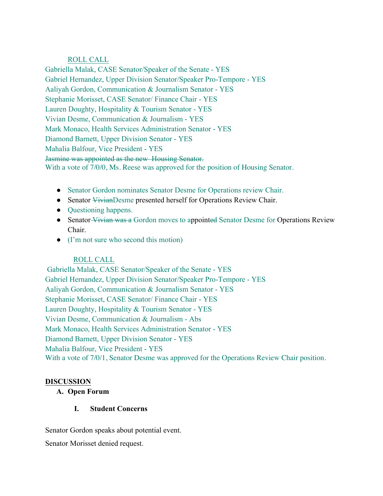#### ROLL CALL

Gabriella Malak, CASE Senator/Speaker of the Senate - YES Gabriel Hernandez, Upper Division Senator/Speaker Pro-Tempore - YES Aaliyah Gordon, Communication & Journalism Senator - YES Stephanie Morisset, CASE Senator/ Finance Chair - YES Lauren Doughty, Hospitality & Tourism Senator - YES Vivian Desme, Communication & Journalism - YES Mark Monaco, Health Services Administration Senator - YES Diamond Barnett, Upper Division Senator - YES Mahalia Balfour, Vice President - YES Jasmine was appointed as the new Housing Senator. With a vote of 7/0/0, Ms. Reese was approved for the position of Housing Senator.

- Senator Gordon nominates Senator Desme for Operations review Chair.
- Senator VivianDesme presented herself for Operations Review Chair.
- Questioning happens.
- Senator-Vivian was a Gordon moves to appointed Senator Desme for Operations Review Chair.
- (I'm not sure who second this motion)

# ROLL CALL

Gabriella Malak, CASE Senator/Speaker of the Senate - YES Gabriel Hernandez, Upper Division Senator/Speaker Pro-Tempore - YES Aaliyah Gordon, Communication & Journalism Senator - YES Stephanie Morisset, CASE Senator/ Finance Chair - YES Lauren Doughty, Hospitality & Tourism Senator - YES Vivian Desme, Communication & Journalism - Abs Mark Monaco, Health Services Administration Senator - YES Diamond Barnett, Upper Division Senator - YES Mahalia Balfour, Vice President - YES With a vote of 7/0/1, Senator Desme was approved for the Operations Review Chair position.

#### **DISCUSSION**

#### **A. Open Forum**

#### **I. Student Concerns**

Senator Gordon speaks about potential event.

Senator Morisset denied request.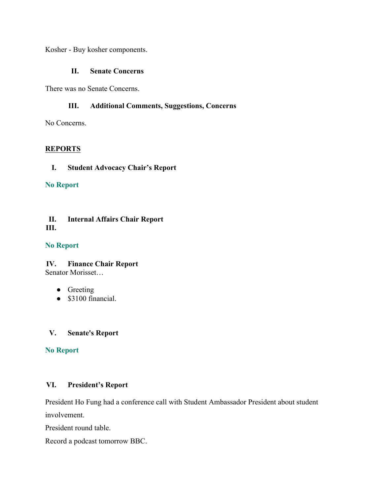Kosher - Buy kosher components.

#### **II. Senate Concerns**

There was no Senate Concerns.

#### **III. Additional Comments, Suggestions, Concerns**

No Concerns.

#### **REPORTS**

#### **I. Student Advocacy Chair's Report**

#### **No Report**

#### **II. Internal Affairs Chair Report III.**

#### **No Report**

# **IV. Finance Chair Report**

Senator Morisset…

- Greeting
- \$3100 financial.

#### **V. Senate's Report**

#### **No Report**

#### **VI. President's Report**

President Ho Fung had a conference call with Student Ambassador President about student involvement.

President round table.

Record a podcast tomorrow BBC.